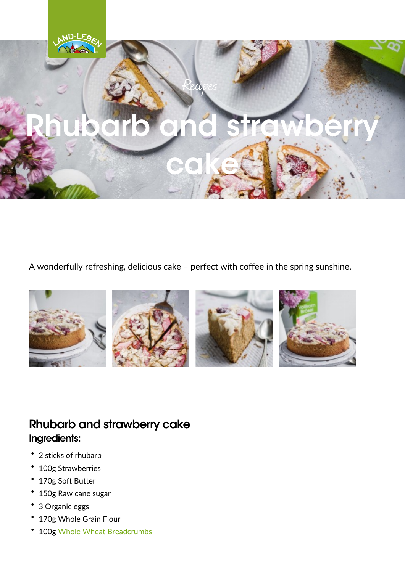A wonderfully refreshing, delicious cake perfect with coffe

Rhubarb and strawberry cake Ingredients: "<br>"2 sticks of rhubarb<br>" "100g Strawberries "170g Soft Butter "150g Raw cane sugar "3 Organic eggs " 170g Whole Grain Flour<br>" 100 g Whole Wheat Breadcrumbs